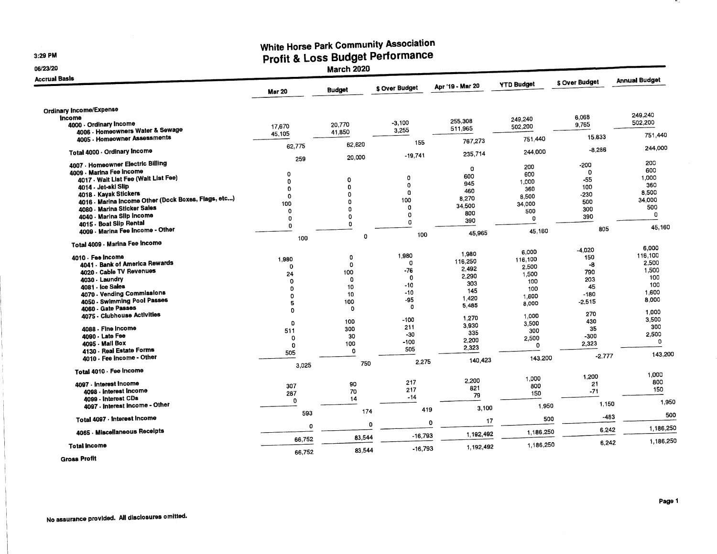**3:29 PM** 

## **06/23/20**

## **White I-local Rudget Performance**

**Profit & Loss Budget Performance Performance Performance Performance Performance Performance Performance Performance** 

| <b>Accrual Basis</b>                                |               |               |                |                  | <b>YTD Budget</b> | \$ Over Budget | <b>Annual Budget</b> |
|-----------------------------------------------------|---------------|---------------|----------------|------------------|-------------------|----------------|----------------------|
|                                                     | <b>Mar 20</b> | <b>Budget</b> | \$ Over Budget | Apr '19 - Mar 20 |                   |                |                      |
| <b>Ordinary Income/Expense</b>                      |               |               |                |                  |                   |                |                      |
| Income                                              |               |               |                | 255,308          | 249,240           | 6,068          | 249,240              |
| 4000 - Ordinary Income                              | 17.670        | 20,770        | $-3,100$       | 511,965          | 502,200           | 9,765          | 502,200              |
| 4006 - Homeowners Water & Sewage                    | 45.105        | 41.850        | 3,255          |                  |                   |                | 751,440              |
| 4005 - Homeowner Assessments                        |               |               | 155            | 767,273          | 751 440           | 15.833         |                      |
|                                                     | 62,775        | 62.620        |                |                  |                   | $-8.286$       | 244,000              |
| Total 4000 - Ordinary Income                        |               | 20,000        | $-19,741$      | 235,714          | 244,000           |                |                      |
| 4007 - Homeowner Electric Billing                   | 259           |               |                |                  |                   | $-200$         | 200                  |
| 4009 - Marina Fee Income                            |               |               |                | O                | 200               | 0              | 600                  |
| 4017 Walt List Fee (Walt List Fee)                  | O             |               | 0              | 600              | 600               | $-55$          | 1,000                |
| 4014 - Jet-ski Slip                                 | 0             | 0<br>0        | $\Omega$       | 945              | 1,000             | 100            | 360                  |
| 4018 - Kayak Stickers                               | $\Omega$      | O             | $\Omega$       | 460              | 360               |                | 8,500                |
| 4016 - Marina Income Other (Dock Boxes, Flags, etc) | 0             | o             | 100            | 8.270            | 8,500             | -230           | 34,000               |
| 4080 - Marina Sticker Sales                         | 100           |               | 0              | 34,500           | 34,000            | 500            | 500                  |
|                                                     | $\Omega$      | 0             | 0              | 800              | 500               | 300            | $\Omega$             |
| 4040 - Marina Slip Income                           | 0             | 0             | Ō              | 390              | n                 | 390            |                      |
| 4015 - Boat Slip Rental                             | $\Omega$      | 0             |                |                  |                   | 805            | 45,160               |
| 4009 Marina Fee Income - Other                      |               | 0             | 100            | 45.965           | 45.160            |                |                      |
| Total 4009 - Marina Fee Income                      | 100           |               |                |                  |                   |                |                      |
|                                                     |               |               |                |                  |                   | -4,020         | 6.000                |
| 4010 - Fee Income                                   |               | $\circ$       | 1,980          | 1,980            | 6.000             | 150            | 116,100              |
| 4041 - Bank of America Rewards                      | 1,980         | 0             | $\mathbf 0$    | 116,250          | 116,100           | -8             | 2,500                |
| 4020 - Cable TV Revenues                            | 0             | 100           | $-76$          | 2.492            | 2,500             | 790            | 1,500                |
| 4030 Laundry                                        | 24            | $\Omega$      | $\mathbf 0$    | 2,290            | 1,500             | 203            | 100                  |
| 4081 - Ice Sales                                    | $\Omega$      | 10            | $-10$          | 303              | 100               | 45             | 100                  |
| 4070 - Vending Commissions                          | $\Omega$      | 10            | $-10$          | 145              | 100               | $-180$         | 1,600                |
| 4050 - Swimming Pool Passes                         | $\Omega$      |               | $-95$          | 1,420            | 1,600             |                | 8.000                |
| 4060 - Gate Passes                                  | 5             | 100           | $\mathbf{0}$   | 5.485            | 8,000             | $-2,515$       |                      |
| 4075 - Clubhouse Activities                         | $\mathbf{0}$  | O             |                |                  |                   | 270            | 1.000                |
|                                                     |               | 100           | $-100$         | 1.270            | 1,000             | 430            | 3.500                |
| 4088 - Fine Income                                  | $\mathbf{O}$  | 300           | 211            | 3.930            | 3,500             | 35             | 300                  |
| 4090 - Late Fee                                     | 511           | 30            | $-30$          | 335              | 300               | $-300$         | 2.500                |
| 4095 - Mail Box                                     | 0             | 100           | $-100$         | 2,200            | 2,500             | 2,323          | 0                    |
| 4130 - Real Estate Forms                            | $\mathbf{O}$  | $\mathbf 0$   | 505            | 2.323            | $\Omega$          |                |                      |
| 4010 - Fee Income - Other                           | 505           |               |                |                  | 143.200           | $-2.777$       | 143,200              |
|                                                     | 3,025         | 750           | 2.275          | 140,423          |                   |                |                      |
| Total 4010 - Fee Income                             |               |               |                |                  |                   |                |                      |
|                                                     |               |               |                |                  | 1,000             | 1,200          | 1,000                |
| 4097 - Interest Income                              | 307           | 90            | 217            | 2,200            | 800               | 21             | 800                  |
| 4098 - Interest Income                              | 287           | 70            | 217            | 821              | 150               | $-71$          | 150                  |
| 4099 - Interest CDs                                 | $\mathbf 0$   | 14            | $-14$          | 79               |                   |                |                      |
| 4097 - Interest Income - Other                      |               |               |                | 3,100            | 1.950             | 1,150          | 1,950                |
|                                                     | 593           | 174           | 419            |                  |                   |                | 500                  |
| Total 4097 - Interest income                        |               |               |                | 17<br>0          | 500               | -483           |                      |
|                                                     | 0             |               | O              |                  |                   | 6,242          | 1,186,250            |
| 4065 - Miscellaneous Receipts                       |               |               | $-16,793$      | 1,192,492        | 1.186,250         |                |                      |
|                                                     | 66,752        | 83,544        |                |                  |                   | 6,242          | 1,186,250            |
| <b>Total Income</b>                                 | 66,752        | 83 544        | $-16,793$      | 1,192,492        | 1,186,250         |                |                      |
|                                                     |               |               |                |                  |                   |                |                      |

**Gross Profit**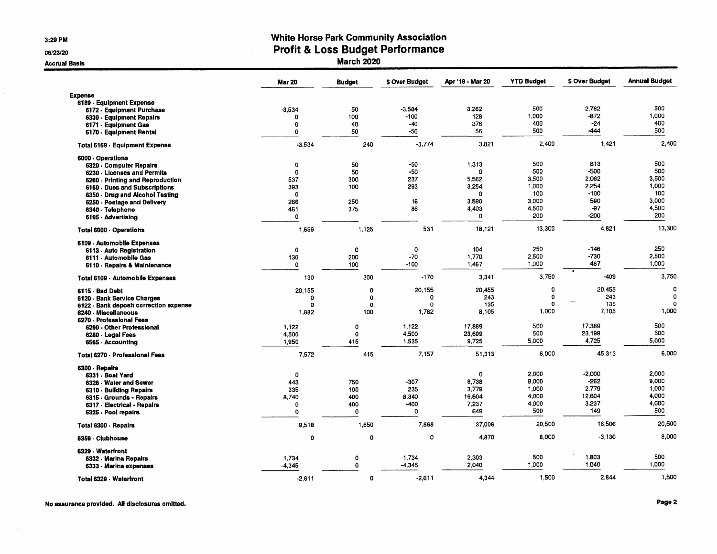**3:29 PM** 

**06/23/20** 

**Accrual Basis** 

## **White Horse** *Park* **Community Association Profit & Loss Budget Performance**

**March 2020** 

|                                        | <b>Mar 20</b> | <b>Budget</b> | \$ Over Budget | Apr '19 - Mar 20 | <b>YTD Budget</b> | \$ Over Budget | <b>Annual Budget</b> |
|----------------------------------------|---------------|---------------|----------------|------------------|-------------------|----------------|----------------------|
| <b>Expense</b>                         |               |               |                |                  |                   |                |                      |
| 6169 Equipment Expense                 |               |               |                |                  |                   |                |                      |
| 6172 Equipment Purchase                | $-3.534$      | 50            | $-3,584$       | 3,262            | 500               | 2,762          | 500                  |
| 6330 - Equipment Repairs               | 0             | 100           | $-100$         | 128              | 1,000             | $-872$         | 1,000                |
| 6171 - Equipment Gas                   | 0             | 40            | $-40$          | 376              | 400               | $-24$          | 400                  |
| 6170 - Equipment Rental                | 0             | 50            | $-50$          | 56               | 500               | -444           | 500                  |
| Total 6169 - Equipment Expense         | $-3,534$      | 240           | $-3,774$       | 3,821            | 2,400             | 1,421          | 2,400                |
| 6000 Operations                        |               |               |                |                  |                   |                |                      |
| 6320 - Computer Repairs                | $\mathbf 0$   | 50            | $-50$          | 1,313            | 500               | 813            | 500                  |
| 6230 - Licenses and Permits            | 0             | 50            | -50            | 0                | 500               | $-500$         | 500                  |
| 6260 - Printing and Reproduction       | 537           | 300           | 237            | 5.562            | 3.500             | 2.062          | 3,500                |
| 6160 - Dues and Subscriptions          | 393           | 100           | 293            | 3.254            | 1,000             | 2.254          | 1,000                |
| 6350 - Drug and Alcohol Testing        | $\mathbf 0$   |               |                | 0                | 100               | $-100$         | 100                  |
| 6250 - Postage and Delivery            | 266           | 250           | 16             | 3.590            | 3,000             | 590            | 3,000                |
| 6340 - Telephone                       | 461           | 375           | 86             | 4,403            | 4,500             | $-97$          | 4,500                |
| 6105 - Advertising                     | $\mathbf 0$   |               |                | 0                | 200               | $-200$         | 200                  |
| Total 6000 Operations                  | 1,656         | 1,125         | 531            | 18,121           | 13,300            | 4,821          | 13,300               |
| 6109 - Automobile Expenses             |               |               |                |                  |                   |                |                      |
| 6113 - Auto Registration               | 0             | $\circ$       | 0              | 104              | 250               | $-146$         | 250                  |
| 6111 - Automobile Gas                  | 130           | 200           | $-70$          | 1,770            | 2,500             | $-730$         | 2,500                |
| 6110 - Repairs & Maintenance           | 0             | 100           | $-100$         | 1,467            | 1,000             | 467            | 1,000                |
| Total 6109 - Automobile Expenses       | 130           | 300           | $-170$         | 3,341            | 3,750             | $-409$         | 3,750                |
| 6115 · Bad Debt                        | 20,155        | 0             | 20.155         | 20.455           | 0                 | 20,455         | 0                    |
| 6120 - Bank Service Charges            | 0             | 0             | $\Omega$       | 243              | 0                 | 243            | 0                    |
| 6122 - Bank deposit correction expense | 0             | 0             | $\Omega$       | 135              | $\mathbf{0}$      | 135            | n                    |
| 6240 Miscellaneous                     | 1,882         | 100           | 1,782          | 8.105            | 1,000             | 7,105          | 1,000                |
| 6270 - Professional Fees               |               |               |                |                  |                   |                |                      |
| 6290 - Other Professional              | 1.122         | 0             | 1.122          | 17.889           | 500               | 17.389         | 500                  |
| 6280 - Legal Fees                      | 4,500         | $\Omega$      | 4.500          | 23.699           | 500               | 23.199         | 500                  |
| 6565 - Accounting                      | 1,950         | 415           | 1,535          | 9,725            | 5,000             | 4,725          | 5,000                |
| <b>Total 6270 - Professional Fees</b>  | 7,572         | 415           | 7,157          | 51,313           | 6,000             | 45.313         | 6,000                |
| 6300 - Repairs                         |               |               |                |                  |                   |                |                      |
| 6331 - Boat Yard                       | $\Omega$      |               |                | 0                | 2,000             | $-2,000$       | 2,000                |
| 6326 - Water and Sewer                 | 443           | 750           | -307           | 8.738            | 9,000             | -262           | 9.000                |
| 6310 - Building Repairs                | 335           | 100           | 235            | 3.779            | 1.000             | 2.779          | 1.000                |
| 6315 - Grounds - Repairs               | 8,740         | 400           | 8,340          | 16,604           | 4,000             | 12,604         | 4,000                |
| 6317 - Electrical - Repairs            | $\mathbf 0$   | 400           | $-400$         | 7.237            | 4,000             | 3,237          | 4,000                |
| 6325 - Pool repairs                    | 0             | $\mathbf 0$   | 0              | 649              | 500               | 149            | 500                  |
| Total 6300 - Repairs                   | 9,518         | 1,650         | 7,868          | 37,006           | 20,500            | 16,506         | 20,500               |
| 6359 - Clubhouse                       | 0             | 0             | 0              | 4,870            | 8,000             | $-3.130$       | 8,000                |
| 6329 - Waterfront                      |               |               |                |                  |                   |                |                      |
| 6332 - Marina Repairs                  | 1,734         | 0             | 1,734          | 2.303            | 500               | 1,803          | 500                  |
| 6333 - Marina expenses                 | $-4,345$      | $\mathbf 0$   | -4,345         | 2,040            | 1,000             | 1,040          | 1,000                |
| Total 6329 - Waterfront                | $-2.611$      | $\mathbf{o}$  | $-2,611$       | 4,344            | 1,500             | 2,844          | 1,500                |